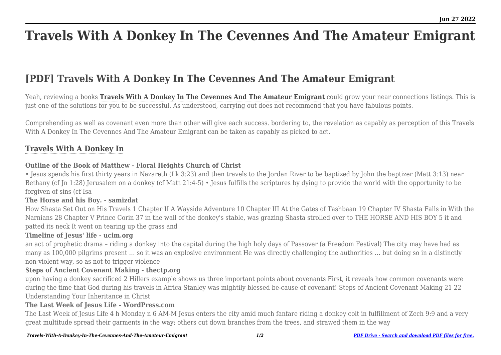# **Travels With A Donkey In The Cevennes And The Amateur Emigrant**

## **[PDF] Travels With A Donkey In The Cevennes And The Amateur Emigrant**

Yeah, reviewing a books **[Travels With A Donkey In The Cevennes And The Amateur Emigrant](http://theknottedllama.com)** could grow your near connections listings. This is just one of the solutions for you to be successful. As understood, carrying out does not recommend that you have fabulous points.

Comprehending as well as covenant even more than other will give each success. bordering to, the revelation as capably as perception of this Travels With A Donkey In The Cevennes And The Amateur Emigrant can be taken as capably as picked to act.

### **[Travels With A Donkey In](http://theknottedllama.com/Travels-With-A-Donkey-In-The-Cevennes-And-The-Amateur-Emigrant.pdf)**

#### **Outline of the Book of Matthew - Floral Heights Church of Christ**

• Jesus spends his first thirty years in Nazareth (Lk 3:23) and then travels to the Jordan River to be baptized by John the baptizer (Matt 3:13) near Bethany (cf Jn 1:28) Jerusalem on a donkey (cf Matt 21:4-5) • Jesus fulfills the scriptures by dying to provide the world with the opportunity to be forgiven of sins (cf Isa

#### **The Horse and his Boy. - samizdat**

How Shasta Set Out on His Travels 1 Chapter II A Wayside Adventure 10 Chapter III At the Gates of Tashbaan 19 Chapter IV Shasta Falls in With the Narnians 28 Chapter V Prince Corin 37 in the wall of the donkey's stable, was grazing Shasta strolled over to THE HORSE AND HIS BOY 5 it and patted its neck It went on tearing up the grass and

#### **Timeline of Jesus' life - ucim.org**

an act of prophetic drama – riding a donkey into the capital during the high holy days of Passover (a Freedom Festival) The city may have had as many as 100,000 pilgrims present … so it was an explosive environment He was directly challenging the authorities … but doing so in a distinctly non-violent way, so as not to trigger violence

#### **Steps of Ancient Covenant Making - thectp.org**

upon having a donkey sacrificed 2 Hillers example shows us three important points about covenants First, it reveals how common covenants were during the time that God during his travels in Africa Stanley was mightily blessed be-cause of covenant! Steps of Ancient Covenant Making 21 22 Understanding Your Inheritance in Christ

#### **The Last Week of Jesus Life - WordPress.com**

The Last Week of Jesus Life 4 h Monday n 6 AM-M Jesus enters the city amid much fanfare riding a donkey colt in fulfillment of Zech 9:9 and a very great multitude spread their garments in the way; others cut down branches from the trees, and strawed them in the way